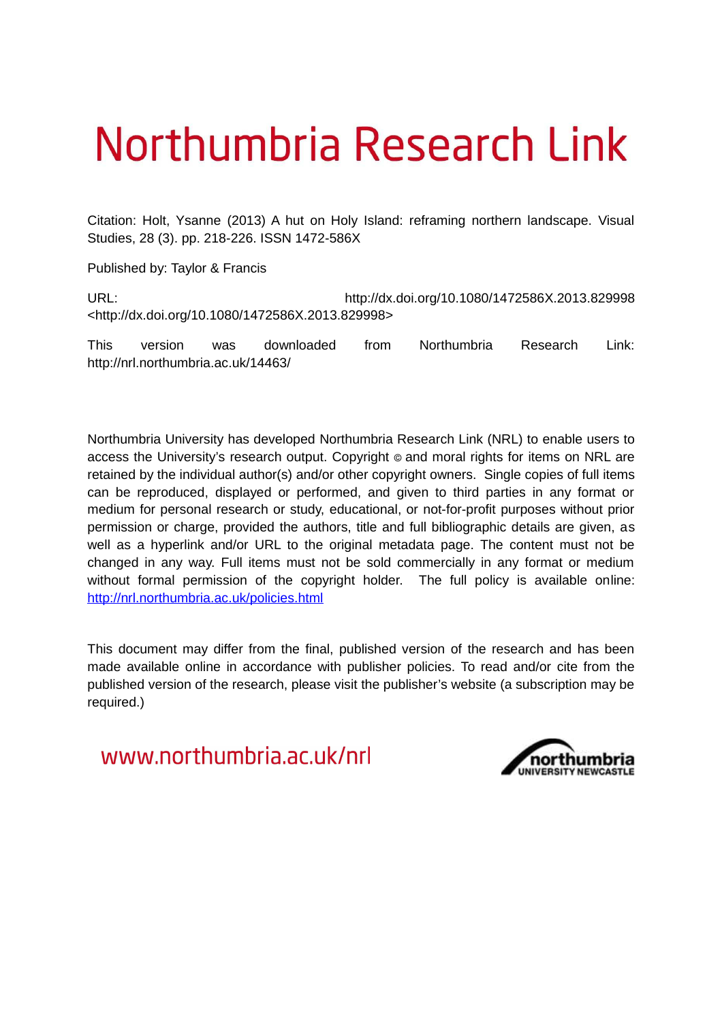# Northumbria Research Link

Citation: Holt, Ysanne (2013) A hut on Holy Island: reframing northern landscape. Visual Studies, 28 (3). pp. 218-226. ISSN 1472-586X

Published by: Taylor & Francis

URL: http://dx.doi.org/10.1080/1472586X.2013.829998 <http://dx.doi.org/10.1080/1472586X.2013.829998>

This version was downloaded from Northumbria Research Link: http://nrl.northumbria.ac.uk/14463/

Northumbria University has developed Northumbria Research Link (NRL) to enable users to access the University's research output. Copyright  $\circ$  and moral rights for items on NRL are retained by the individual author(s) and/or other copyright owners. Single copies of full items can be reproduced, displayed or performed, and given to third parties in any format or medium for personal research or study, educational, or not-for-profit purposes without prior permission or charge, provided the authors, title and full bibliographic details are given, as well as a hyperlink and/or URL to the original metadata page. The content must not be changed in any way. Full items must not be sold commercially in any format or medium without formal permission of the copyright holder. The full policy is available online: <http://nrl.northumbria.ac.uk/policies.html>

This document may differ from the final, published version of the research and has been made available online in accordance with publisher policies. To read and/or cite from the published version of the research, please visit the publisher's website (a subscription may be required.)

www.northumbria.ac.uk/nrl

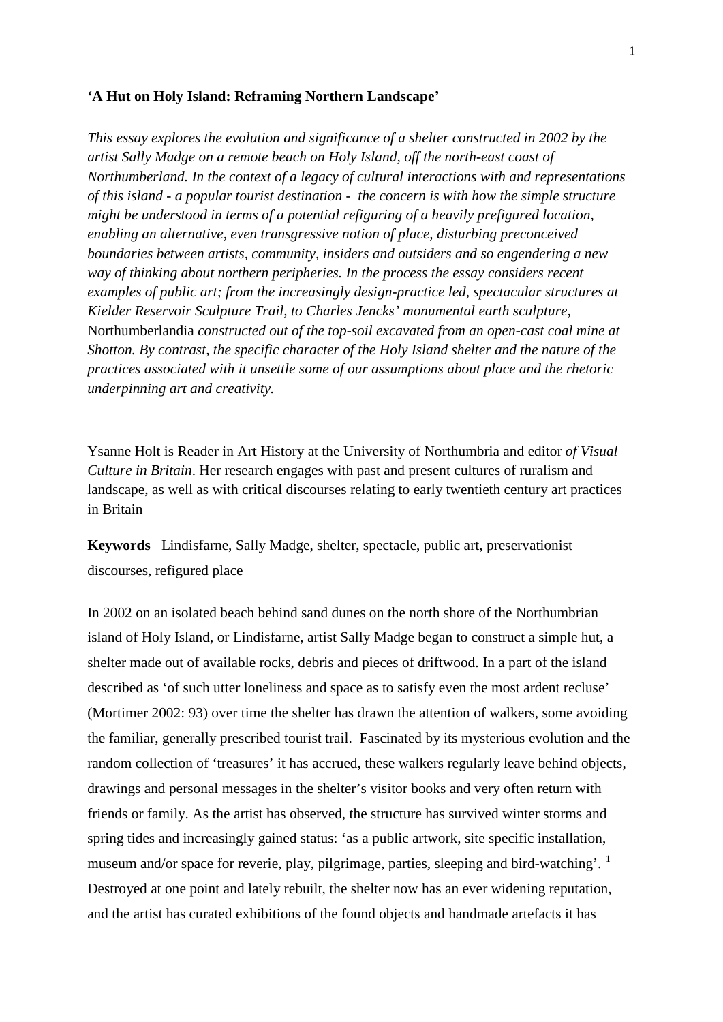## **'A Hut on Holy Island: Reframing Northern Landscape'**

*This essay explores the evolution and significance of a shelter constructed in 2002 by the artist Sally Madge on a remote beach on Holy Island, off the north-east coast of Northumberland. In the context of a legacy of cultural interactions with and representations of this island - a popular tourist destination - the concern is with how the simple structure might be understood in terms of a potential refiguring of a heavily prefigured location, enabling an alternative, even transgressive notion of place, disturbing preconceived boundaries between artists, community, insiders and outsiders and so engendering a new way of thinking about northern peripheries. In the process the essay considers recent examples of public art; from the increasingly design-practice led, spectacular structures at Kielder Reservoir Sculpture Trail, to Charles Jencks' monumental earth sculpture,*  Northumberlandia *constructed out of the top-soil excavated from an open-cast coal mine at Shotton. By contrast, the specific character of the Holy Island shelter and the nature of the practices associated with it unsettle some of our assumptions about place and the rhetoric underpinning art and creativity.* 

Ysanne Holt is Reader in Art History at the University of Northumbria and editor *of Visual Culture in Britain*. Her research engages with past and present cultures of ruralism and landscape, as well as with critical discourses relating to early twentieth century art practices in Britain

**Keywords** Lindisfarne, Sally Madge, shelter, spectacle, public art, preservationist discourses, refigured place

In 2002 on an isolated beach behind sand dunes on the north shore of the Northumbrian island of Holy Island, or Lindisfarne, artist Sally Madge began to construct a simple hut, a shelter made out of available rocks, debris and pieces of driftwood. In a part of the island described as 'of such utter loneliness and space as to satisfy even the most ardent recluse' (Mortimer 2002: 93) over time the shelter has drawn the attention of walkers, some avoiding the familiar, generally prescribed tourist trail. Fascinated by its mysterious evolution and the random collection of 'treasures' it has accrued, these walkers regularly leave behind objects, drawings and personal messages in the shelter's visitor books and very often return with friends or family. As the artist has observed, the structure has survived winter storms and spring tides and increasingly gained status: 'as a public artwork, site specific installation, museum and/or space for reverie, play, pilgrimage, parties, sleeping and bird-watching'.<sup>[1](#page-13-0)</sup> Destroyed at one point and lately rebuilt, the shelter now has an ever widening reputation, and the artist has curated exhibitions of the found objects and handmade artefacts it has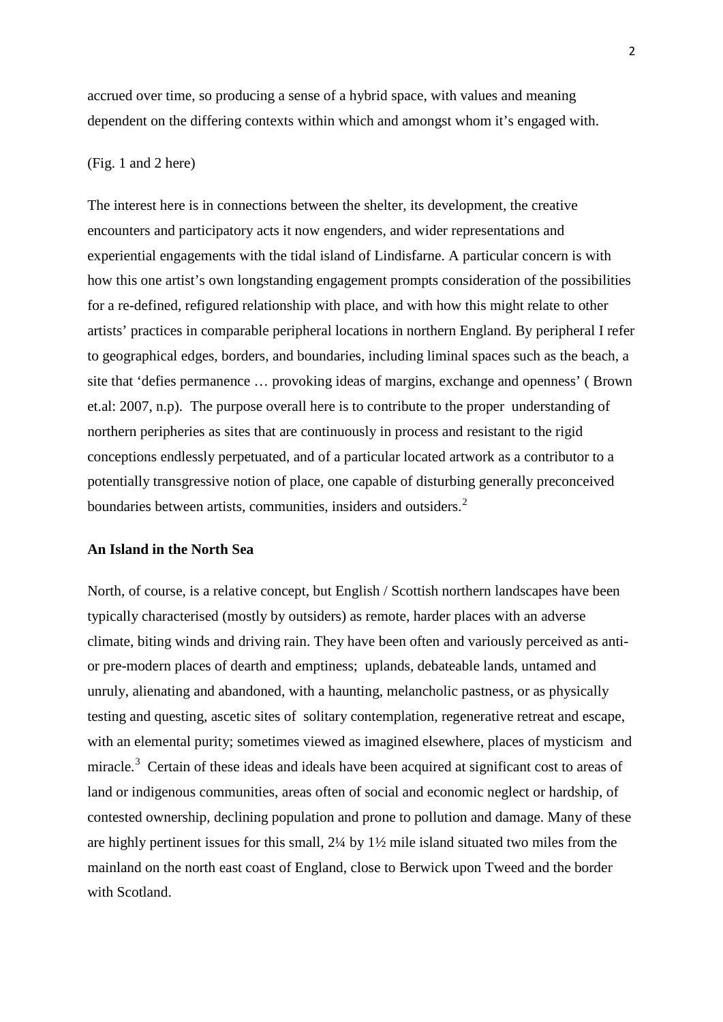accrued over time, so producing a sense of a hybrid space, with values and meaning dependent on the differing contexts within which and amongst whom it's engaged with.

## (Fig. 1 and 2 here)

The interest here is in connections between the shelter, its development, the creative encounters and participatory acts it now engenders, and wider representations and experiential engagements with the tidal island of Lindisfarne. A particular concern is with how this one artist's own longstanding engagement prompts consideration of the possibilities for a re-defined, refigured relationship with place, and with how this might relate to other artists' practices in comparable peripheral locations in northern England. By peripheral I refer to geographical edges, borders, and boundaries, including liminal spaces such as the beach, a site that 'defies permanence … provoking ideas of margins, exchange and openness' ( Brown et.al: 2007, n.p). The purpose overall here is to contribute to the proper understanding of northern peripheries as sites that are continuously in process and resistant to the rigid conceptions endlessly perpetuated, and of a particular located artwork as a contributor to a potentially transgressive notion of place, one capable of disturbing generally preconceived boundaries between artists, communities, insiders and outsiders.<sup>[2](#page-14-0)</sup>

## **An Island in the North Sea**

North, of course, is a relative concept, but English / Scottish northern landscapes have been typically characterised (mostly by outsiders) as remote, harder places with an adverse climate, biting winds and driving rain. They have been often and variously perceived as antior pre-modern places of dearth and emptiness; uplands, debateable lands, untamed and unruly, alienating and abandoned, with a haunting, melancholic pastness, or as physically testing and questing, ascetic sites of solitary contemplation, regenerative retreat and escape, with an elemental purity; sometimes viewed as imagined elsewhere, places of mysticism and miracle.<sup>[3](#page-14-1)</sup> Certain of these ideas and ideals have been acquired at significant cost to areas of land or indigenous communities, areas often of social and economic neglect or hardship, of contested ownership, declining population and prone to pollution and damage. Many of these are highly pertinent issues for this small, 2¼ by 1½ mile island situated two miles from the mainland on the north east coast of England, close to Berwick upon Tweed and the border with Scotland.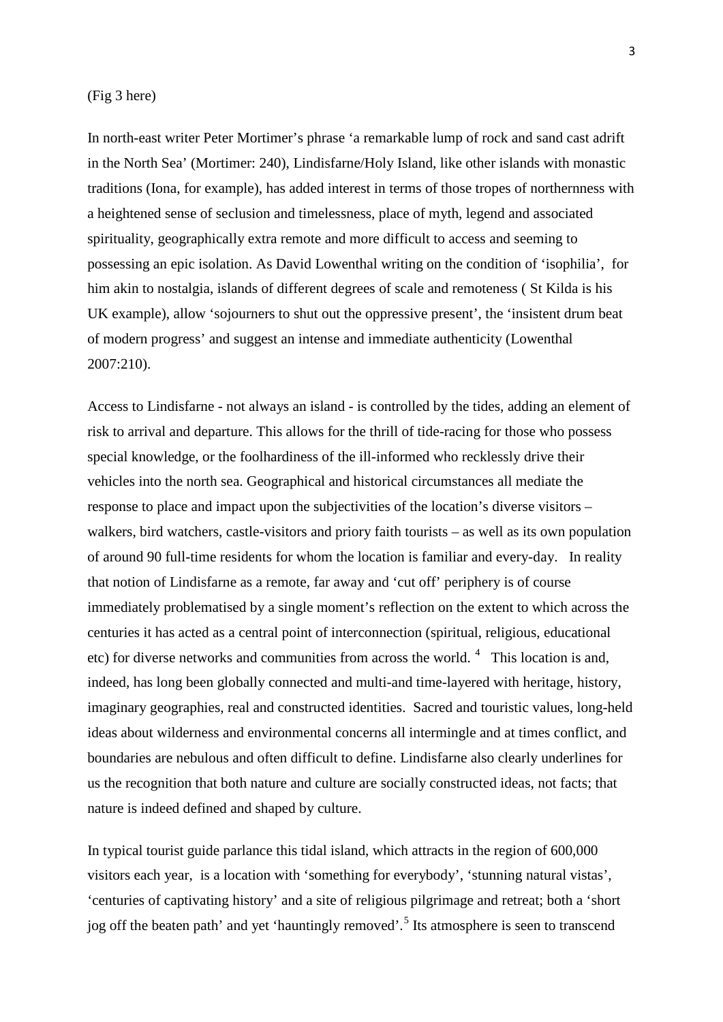## (Fig 3 here)

In north-east writer Peter Mortimer's phrase 'a remarkable lump of rock and sand cast adrift in the North Sea' (Mortimer: 240), Lindisfarne/Holy Island, like other islands with monastic traditions (Iona, for example), has added interest in terms of those tropes of northernness with a heightened sense of seclusion and timelessness, place of myth, legend and associated spirituality, geographically extra remote and more difficult to access and seeming to possessing an epic isolation. As David Lowenthal writing on the condition of 'isophilia', for him akin to nostalgia, islands of different degrees of scale and remoteness ( St Kilda is his UK example), allow 'sojourners to shut out the oppressive present', the 'insistent drum beat of modern progress' and suggest an intense and immediate authenticity (Lowenthal 2007:210).

Access to Lindisfarne - not always an island - is controlled by the tides, adding an element of risk to arrival and departure. This allows for the thrill of tide-racing for those who possess special knowledge, or the foolhardiness of the ill-informed who recklessly drive their vehicles into the north sea. Geographical and historical circumstances all mediate the response to place and impact upon the subjectivities of the location's diverse visitors – walkers, bird watchers, castle-visitors and priory faith tourists – as well as its own population of around 90 full-time residents for whom the location is familiar and every-day. In reality that notion of Lindisfarne as a remote, far away and 'cut off' periphery is of course immediately problematised by a single moment's reflection on the extent to which across the centuries it has acted as a central point of interconnection (spiritual, religious, educational etc) for diverse networks and communities from across the world.  $4$  This location is and, indeed, has long been globally connected and multi-and time-layered with heritage, history, imaginary geographies, real and constructed identities. Sacred and touristic values, long-held ideas about wilderness and environmental concerns all intermingle and at times conflict, and boundaries are nebulous and often difficult to define. Lindisfarne also clearly underlines for us the recognition that both nature and culture are socially constructed ideas, not facts; that nature is indeed defined and shaped by culture.

In typical tourist guide parlance this tidal island, which attracts in the region of 600,000 visitors each year, is a location with 'something for everybody', 'stunning natural vistas', 'centuries of captivating history' and a site of religious pilgrimage and retreat; both a 'short jog off the beaten path' and yet 'hauntingly removed'.<sup>[5](#page-15-1)</sup> Its atmosphere is seen to transcend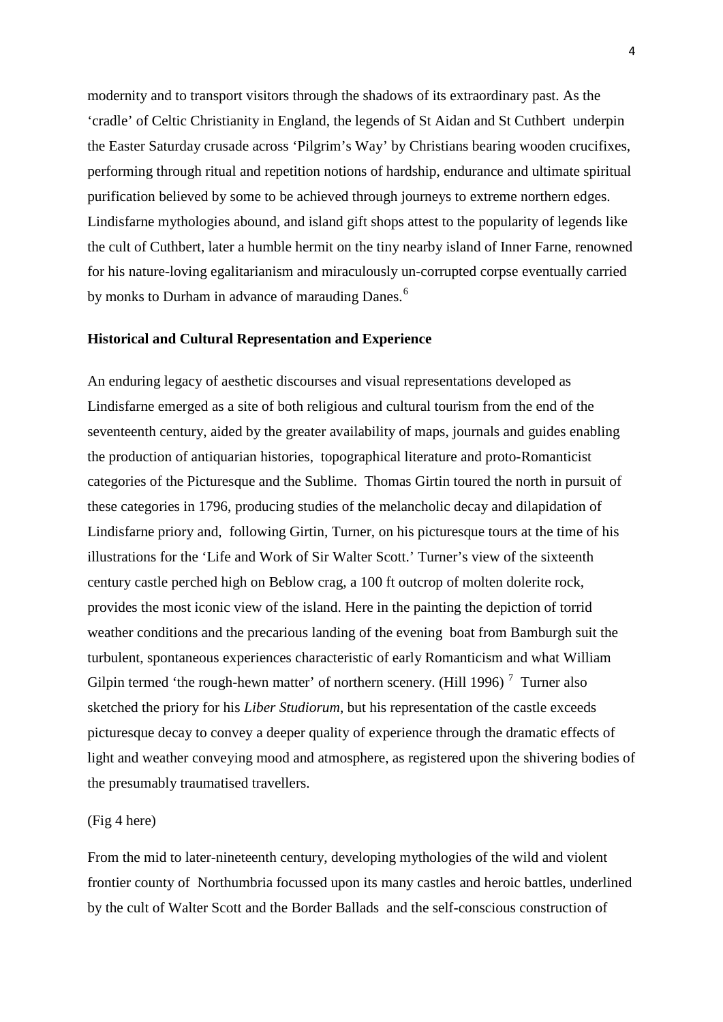modernity and to transport visitors through the shadows of its extraordinary past. As the 'cradle' of Celtic Christianity in England, the legends of St Aidan and St Cuthbert underpin the Easter Saturday crusade across 'Pilgrim's Way' by Christians bearing wooden crucifixes, performing through ritual and repetition notions of hardship, endurance and ultimate spiritual purification believed by some to be achieved through journeys to extreme northern edges. Lindisfarne mythologies abound, and island gift shops attest to the popularity of legends like the cult of Cuthbert, later a humble hermit on the tiny nearby island of Inner Farne, renowned for his nature-loving egalitarianism and miraculously un-corrupted corpse eventually carried by monks to Durham in advance of marauding Danes.<sup>[6](#page-15-2)</sup>

# **Historical and Cultural Representation and Experience**

An enduring legacy of aesthetic discourses and visual representations developed as Lindisfarne emerged as a site of both religious and cultural tourism from the end of the seventeenth century, aided by the greater availability of maps, journals and guides enabling the production of antiquarian histories, topographical literature and proto-Romanticist categories of the Picturesque and the Sublime. Thomas Girtin toured the north in pursuit of these categories in 1796, producing studies of the melancholic decay and dilapidation of Lindisfarne priory and, following Girtin, Turner, on his picturesque tours at the time of his illustrations for the 'Life and Work of Sir Walter Scott.' Turner's view of the sixteenth century castle perched high on Beblow crag, a 100 ft outcrop of molten dolerite rock, provides the most iconic view of the island. Here in the painting the depiction of torrid weather conditions and the precarious landing of the evening boat from Bamburgh suit the turbulent, spontaneous experiences characteristic of early Romanticism and what William Gilpin termed 'the rough-hewn matter' of northern scenery. (Hill 1996)<sup>[7](#page-15-3)</sup> Turner also sketched the priory for his *Liber Studiorum*, but his representation of the castle exceeds picturesque decay to convey a deeper quality of experience through the dramatic effects of light and weather conveying mood and atmosphere, as registered upon the shivering bodies of the presumably traumatised travellers.

#### (Fig 4 here)

From the mid to later-nineteenth century, developing mythologies of the wild and violent frontier county of Northumbria focussed upon its many castles and heroic battles, underlined by the cult of Walter Scott and the Border Ballads and the self-conscious construction of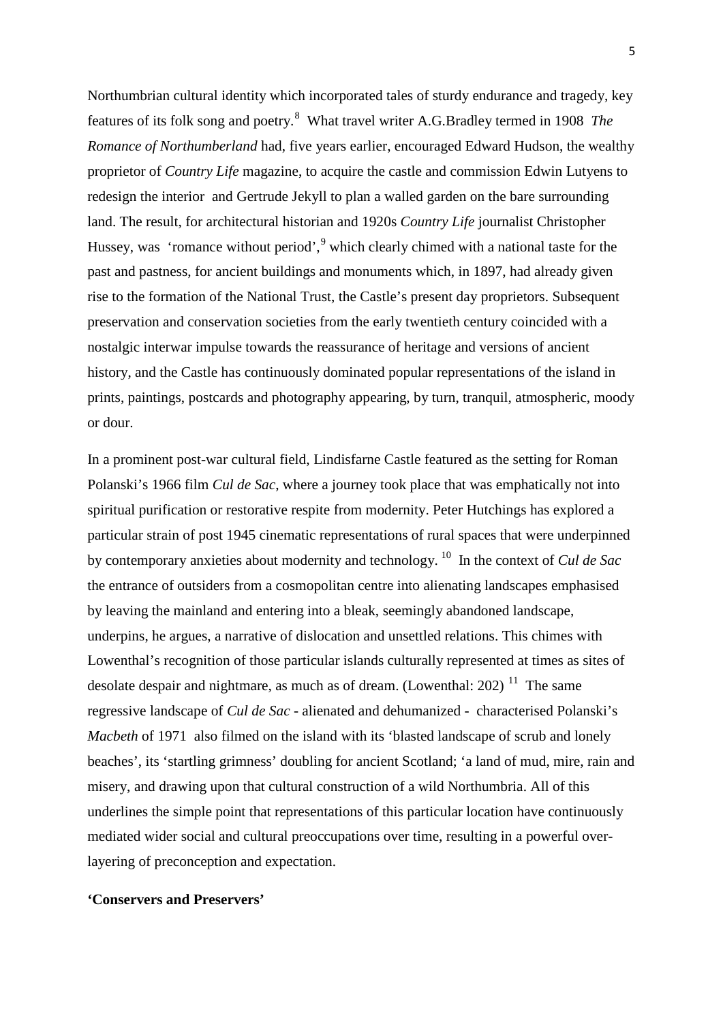Northumbrian cultural identity which incorporated tales of sturdy endurance and tragedy, key features of its folk song and poetry.<sup>[8](#page-15-4)</sup> What travel writer A.G.Bradley termed in 1908 *The Romance of Northumberland* had, five years earlier, encouraged Edward Hudson, the wealthy proprietor of *Country Life* magazine, to acquire the castle and commission Edwin Lutyens to redesign the interior and Gertrude Jekyll to plan a walled garden on the bare surrounding land. The result, for architectural historian and 1920s *Country Life* journalist Christopher Hussey, was 'romance without period',  $9$  which clearly chimed with a national taste for the past and pastness, for ancient buildings and monuments which, in 1897, had already given rise to the formation of the National Trust, the Castle's present day proprietors. Subsequent preservation and conservation societies from the early twentieth century coincided with a nostalgic interwar impulse towards the reassurance of heritage and versions of ancient history, and the Castle has continuously dominated popular representations of the island in prints, paintings, postcards and photography appearing, by turn, tranquil, atmospheric, moody or dour.

In a prominent post-war cultural field, Lindisfarne Castle featured as the setting for Roman Polanski's 1966 film *Cul de Sac*, where a journey took place that was emphatically not into spiritual purification or restorative respite from modernity. Peter Hutchings has explored a particular strain of post 1945 cinematic representations of rural spaces that were underpinned by contemporary anxieties about modernity and technology. [10](#page-15-6) In the context of *Cul de Sac* the entrance of outsiders from a cosmopolitan centre into alienating landscapes emphasised by leaving the mainland and entering into a bleak, seemingly abandoned landscape, underpins, he argues, a narrative of dislocation and unsettled relations. This chimes with Lowenthal's recognition of those particular islands culturally represented at times as sites of desolate despair and nightmare, as much as of dream. (Lowenthal:  $202$ )  $^{11}$  $^{11}$  $^{11}$  The same regressive landscape of *Cul de Sac* - alienated and dehumanized - characterised Polanski's *Macbeth* of 1971 also filmed on the island with its 'blasted landscape of scrub and lonely beaches', its 'startling grimness' doubling for ancient Scotland; 'a land of mud, mire, rain and misery, and drawing upon that cultural construction of a wild Northumbria. All of this underlines the simple point that representations of this particular location have continuously mediated wider social and cultural preoccupations over time, resulting in a powerful overlayering of preconception and expectation.

# **'Conservers and Preservers'**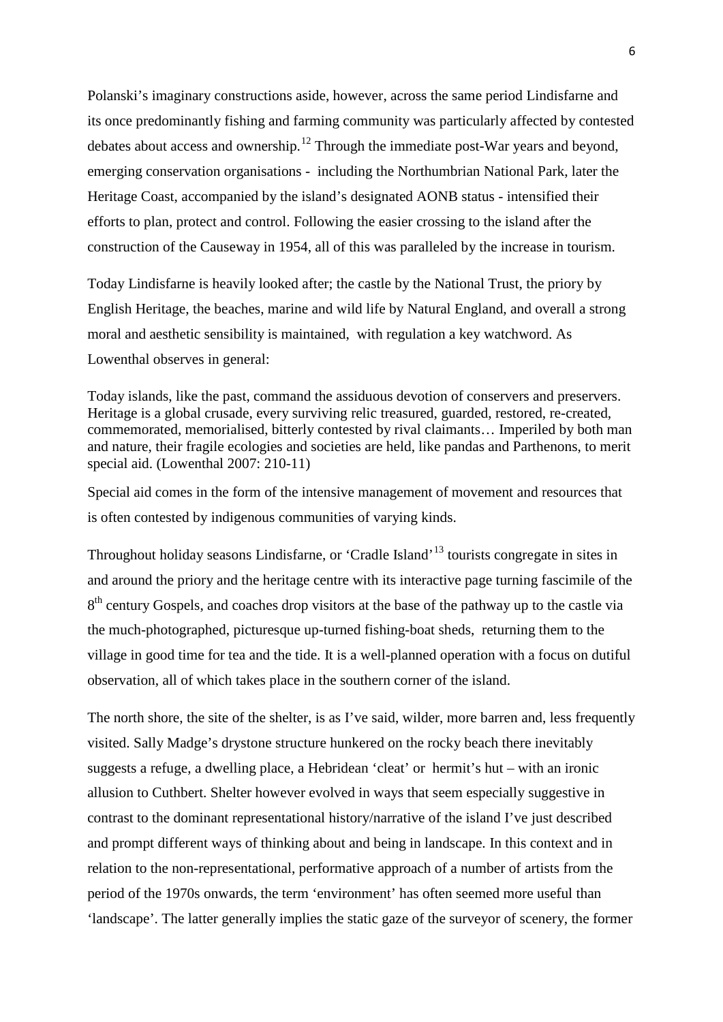Polanski's imaginary constructions aside, however, across the same period Lindisfarne and its once predominantly fishing and farming community was particularly affected by contested debates about access and ownership.[12](#page-15-8) Through the immediate post-War years and beyond, emerging conservation organisations - including the Northumbrian National Park, later the Heritage Coast, accompanied by the island's designated AONB status - intensified their efforts to plan, protect and control. Following the easier crossing to the island after the construction of the Causeway in 1954, all of this was paralleled by the increase in tourism.

Today Lindisfarne is heavily looked after; the castle by the National Trust, the priory by English Heritage, the beaches, marine and wild life by Natural England, and overall a strong moral and aesthetic sensibility is maintained, with regulation a key watchword. As Lowenthal observes in general:

Today islands, like the past, command the assiduous devotion of conservers and preservers. Heritage is a global crusade, every surviving relic treasured, guarded, restored, re-created, commemorated, memorialised, bitterly contested by rival claimants… Imperiled by both man and nature, their fragile ecologies and societies are held, like pandas and Parthenons, to merit special aid. (Lowenthal 2007: 210-11)

Special aid comes in the form of the intensive management of movement and resources that is often contested by indigenous communities of varying kinds.

Throughout holiday seasons Lindisfarne, or 'Cradle Island'<sup>[13](#page-15-9)</sup> tourists congregate in sites in and around the priory and the heritage centre with its interactive page turning fascimile of the 8<sup>th</sup> century Gospels, and coaches drop visitors at the base of the pathway up to the castle via the much-photographed, picturesque up-turned fishing-boat sheds, returning them to the village in good time for tea and the tide. It is a well-planned operation with a focus on dutiful observation, all of which takes place in the southern corner of the island.

The north shore, the site of the shelter, is as I've said, wilder, more barren and, less frequently visited. Sally Madge's drystone structure hunkered on the rocky beach there inevitably suggests a refuge, a dwelling place, a Hebridean 'cleat' or hermit's hut – with an ironic allusion to Cuthbert. Shelter however evolved in ways that seem especially suggestive in contrast to the dominant representational history/narrative of the island I've just described and prompt different ways of thinking about and being in landscape. In this context and in relation to the non-representational, performative approach of a number of artists from the period of the 1970s onwards, the term 'environment' has often seemed more useful than 'landscape'. The latter generally implies the static gaze of the surveyor of scenery, the former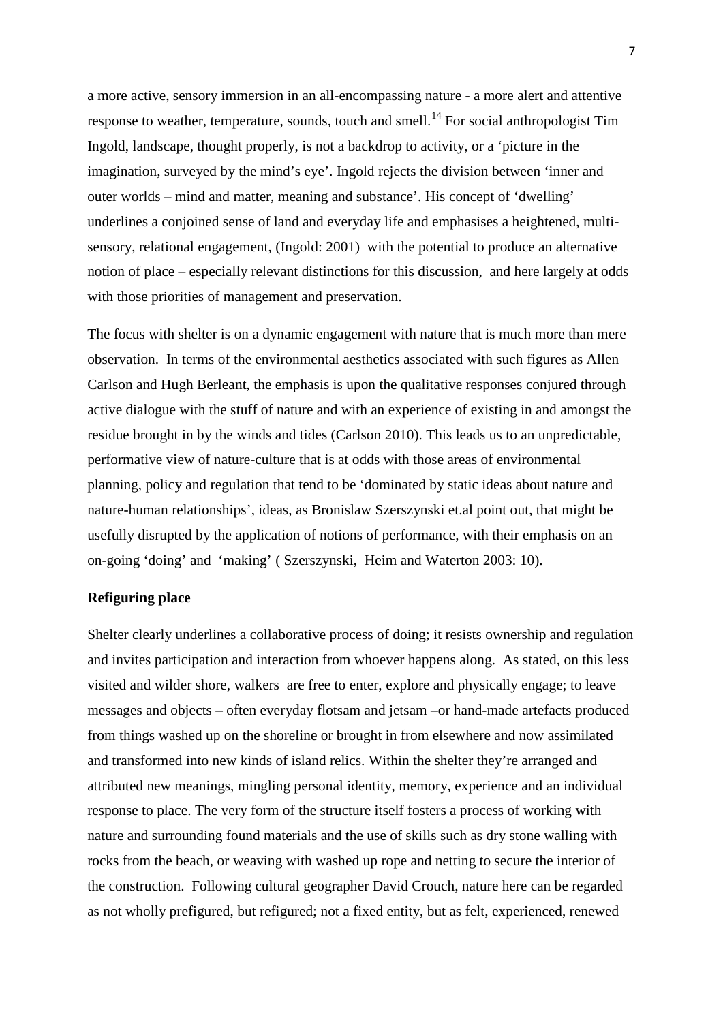a more active, sensory immersion in an all-encompassing nature - a more alert and attentive response to weather, temperature, sounds, touch and smell.<sup>[14](#page-15-10)</sup> For social anthropologist Tim Ingold, landscape, thought properly, is not a backdrop to activity, or a 'picture in the imagination, surveyed by the mind's eye'. Ingold rejects the division between 'inner and outer worlds – mind and matter, meaning and substance'. His concept of 'dwelling' underlines a conjoined sense of land and everyday life and emphasises a heightened, multisensory, relational engagement, (Ingold: 2001) with the potential to produce an alternative notion of place – especially relevant distinctions for this discussion, and here largely at odds with those priorities of management and preservation.

The focus with shelter is on a dynamic engagement with nature that is much more than mere observation. In terms of the environmental aesthetics associated with such figures as Allen Carlson and Hugh Berleant, the emphasis is upon the qualitative responses conjured through active dialogue with the stuff of nature and with an experience of existing in and amongst the residue brought in by the winds and tides (Carlson 2010). This leads us to an unpredictable, performative view of nature-culture that is at odds with those areas of environmental planning, policy and regulation that tend to be 'dominated by static ideas about nature and nature-human relationships', ideas, as Bronislaw Szerszynski et.al point out, that might be usefully disrupted by the application of notions of performance, with their emphasis on an on-going 'doing' and 'making' ( Szerszynski, Heim and Waterton 2003: 10).

## **Refiguring place**

Shelter clearly underlines a collaborative process of doing; it resists ownership and regulation and invites participation and interaction from whoever happens along. As stated, on this less visited and wilder shore, walkers are free to enter, explore and physically engage; to leave messages and objects – often everyday flotsam and jetsam –or hand-made artefacts produced from things washed up on the shoreline or brought in from elsewhere and now assimilated and transformed into new kinds of island relics. Within the shelter they're arranged and attributed new meanings, mingling personal identity, memory, experience and an individual response to place. The very form of the structure itself fosters a process of working with nature and surrounding found materials and the use of skills such as dry stone walling with rocks from the beach, or weaving with washed up rope and netting to secure the interior of the construction. Following cultural geographer David Crouch, nature here can be regarded as not wholly prefigured, but refigured; not a fixed entity, but as felt, experienced, renewed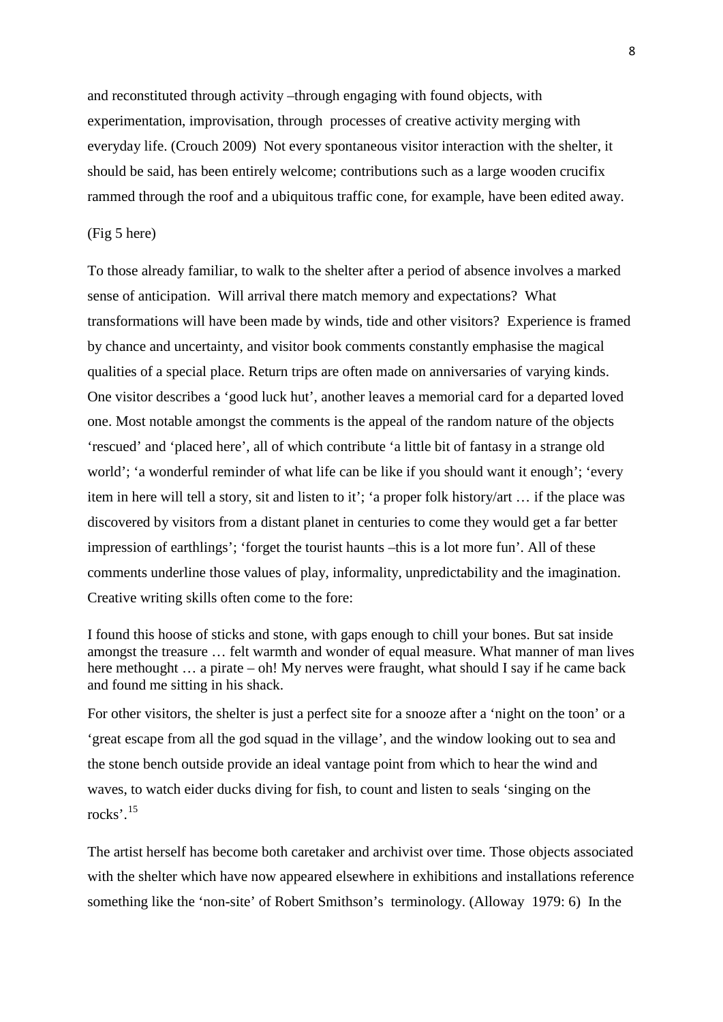and reconstituted through activity –through engaging with found objects, with experimentation, improvisation, through processes of creative activity merging with everyday life. (Crouch 2009) Not every spontaneous visitor interaction with the shelter, it should be said, has been entirely welcome; contributions such as a large wooden crucifix rammed through the roof and a ubiquitous traffic cone, for example, have been edited away.

## (Fig 5 here)

To those already familiar, to walk to the shelter after a period of absence involves a marked sense of anticipation. Will arrival there match memory and expectations? What transformations will have been made by winds, tide and other visitors? Experience is framed by chance and uncertainty, and visitor book comments constantly emphasise the magical qualities of a special place. Return trips are often made on anniversaries of varying kinds. One visitor describes a 'good luck hut', another leaves a memorial card for a departed loved one. Most notable amongst the comments is the appeal of the random nature of the objects 'rescued' and 'placed here', all of which contribute 'a little bit of fantasy in a strange old world'; 'a wonderful reminder of what life can be like if you should want it enough'; 'every item in here will tell a story, sit and listen to it'; 'a proper folk history/art … if the place was discovered by visitors from a distant planet in centuries to come they would get a far better impression of earthlings'; 'forget the tourist haunts –this is a lot more fun'. All of these comments underline those values of play, informality, unpredictability and the imagination. Creative writing skills often come to the fore:

I found this hoose of sticks and stone, with gaps enough to chill your bones. But sat inside amongst the treasure … felt warmth and wonder of equal measure. What manner of man lives here methought ... a pirate – oh! My nerves were fraught, what should I say if he came back and found me sitting in his shack.

For other visitors, the shelter is just a perfect site for a snooze after a 'night on the toon' or a 'great escape from all the god squad in the village', and the window looking out to sea and the stone bench outside provide an ideal vantage point from which to hear the wind and waves, to watch eider ducks diving for fish, to count and listen to seals 'singing on the rocks'.[15](#page-15-11)

The artist herself has become both caretaker and archivist over time. Those objects associated with the shelter which have now appeared elsewhere in exhibitions and installations reference something like the 'non-site' of Robert Smithson's terminology. (Alloway 1979: 6) In the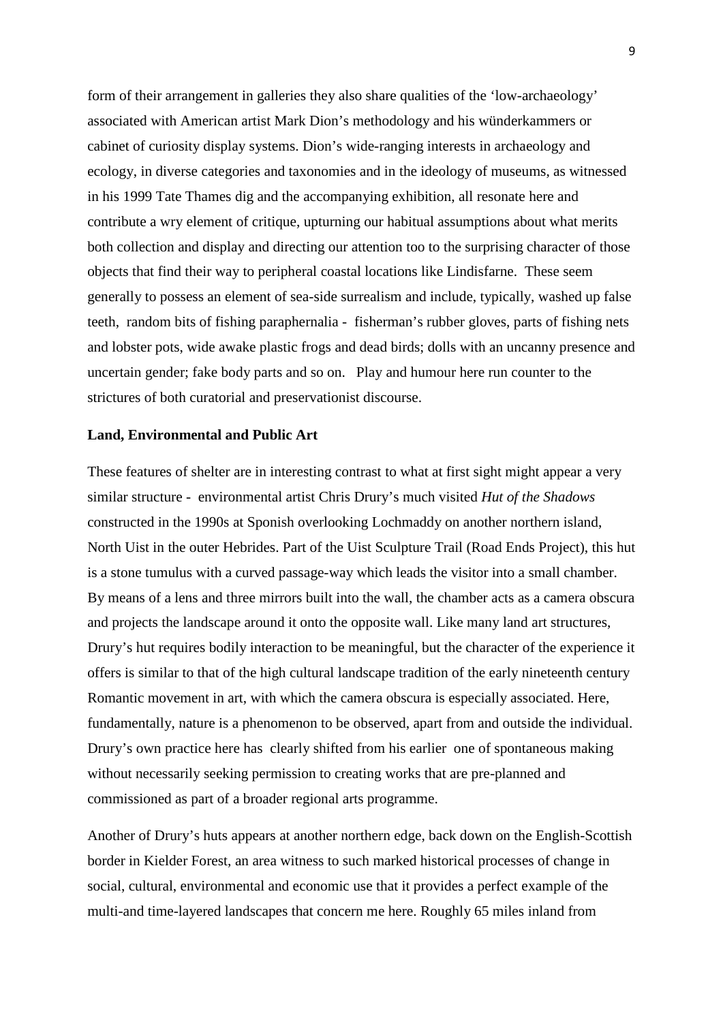form of their arrangement in galleries they also share qualities of the 'low-archaeology' associated with American artist Mark Dion's methodology and his wünderkammers or cabinet of curiosity display systems. Dion's wide-ranging interests in archaeology and ecology, in diverse categories and taxonomies and in the ideology of museums, as witnessed in his 1999 Tate Thames dig and the accompanying exhibition, all resonate here and contribute a wry element of critique, upturning our habitual assumptions about what merits both collection and display and directing our attention too to the surprising character of those objects that find their way to peripheral coastal locations like Lindisfarne. These seem generally to possess an element of sea-side surrealism and include, typically, washed up false teeth, random bits of fishing paraphernalia - fisherman's rubber gloves, parts of fishing nets and lobster pots, wide awake plastic frogs and dead birds; dolls with an uncanny presence and uncertain gender; fake body parts and so on. Play and humour here run counter to the strictures of both curatorial and preservationist discourse.

## **Land, Environmental and Public Art**

These features of shelter are in interesting contrast to what at first sight might appear a very similar structure - environmental artist Chris Drury's much visited *Hut of the Shadows* constructed in the 1990s at Sponish overlooking Lochmaddy on another northern island, North Uist in the outer Hebrides. Part of the Uist Sculpture Trail (Road Ends Project), this hut is a stone tumulus with a curved passage-way which leads the visitor into a small chamber. By means of a lens and three mirrors built into the wall, the chamber acts as a camera obscura and projects the landscape around it onto the opposite wall. Like many land art structures, Drury's hut requires bodily interaction to be meaningful, but the character of the experience it offers is similar to that of the high cultural landscape tradition of the early nineteenth century Romantic movement in art, with which the camera obscura is especially associated. Here, fundamentally, nature is a phenomenon to be observed, apart from and outside the individual. Drury's own practice here has clearly shifted from his earlier one of spontaneous making without necessarily seeking permission to creating works that are pre-planned and commissioned as part of a broader regional arts programme.

Another of Drury's huts appears at another northern edge, back down on the English-Scottish border in Kielder Forest, an area witness to such marked historical processes of change in social, cultural, environmental and economic use that it provides a perfect example of the multi-and time-layered landscapes that concern me here. Roughly 65 miles inland from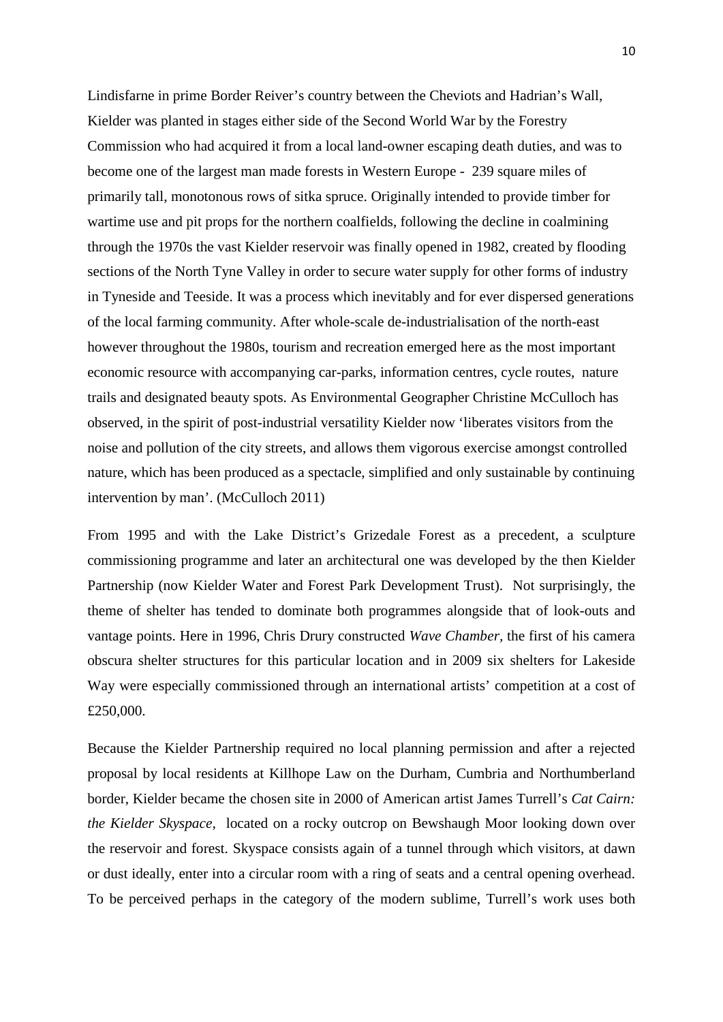Lindisfarne in prime Border Reiver's country between the Cheviots and Hadrian's Wall, Kielder was planted in stages either side of the Second World War by the Forestry Commission who had acquired it from a local land-owner escaping death duties, and was to become one of the largest man made forests in Western Europe - 239 square miles of primarily tall, monotonous rows of sitka spruce. Originally intended to provide timber for wartime use and pit props for the northern coalfields, following the decline in coalmining through the 1970s the vast Kielder reservoir was finally opened in 1982, created by flooding sections of the North Tyne Valley in order to secure water supply for other forms of industry in Tyneside and Teeside. It was a process which inevitably and for ever dispersed generations of the local farming community. After whole-scale de-industrialisation of the north-east however throughout the 1980s, tourism and recreation emerged here as the most important economic resource with accompanying car-parks, information centres, cycle routes, nature trails and designated beauty spots. As Environmental Geographer Christine McCulloch has observed, in the spirit of post-industrial versatility Kielder now 'liberates visitors from the noise and pollution of the city streets, and allows them vigorous exercise amongst controlled nature, which has been produced as a spectacle, simplified and only sustainable by continuing intervention by man'. (McCulloch 2011)

From 1995 and with the Lake District's Grizedale Forest as a precedent, a sculpture commissioning programme and later an architectural one was developed by the then Kielder Partnership (now Kielder Water and Forest Park Development Trust). Not surprisingly, the theme of shelter has tended to dominate both programmes alongside that of look-outs and vantage points. Here in 1996, Chris Drury constructed *Wave Chamber,* the first of his camera obscura shelter structures for this particular location and in 2009 six shelters for Lakeside Way were especially commissioned through an international artists' competition at a cost of £250,000.

Because the Kielder Partnership required no local planning permission and after a rejected proposal by local residents at Killhope Law on the Durham, Cumbria and Northumberland border, Kielder became the chosen site in 2000 of American artist James Turrell's *Cat Cairn: the Kielder Skyspace*, located on a rocky outcrop on Bewshaugh Moor looking down over the reservoir and forest. Skyspace consists again of a tunnel through which visitors, at dawn or dust ideally, enter into a circular room with a ring of seats and a central opening overhead. To be perceived perhaps in the category of the modern sublime, Turrell's work uses both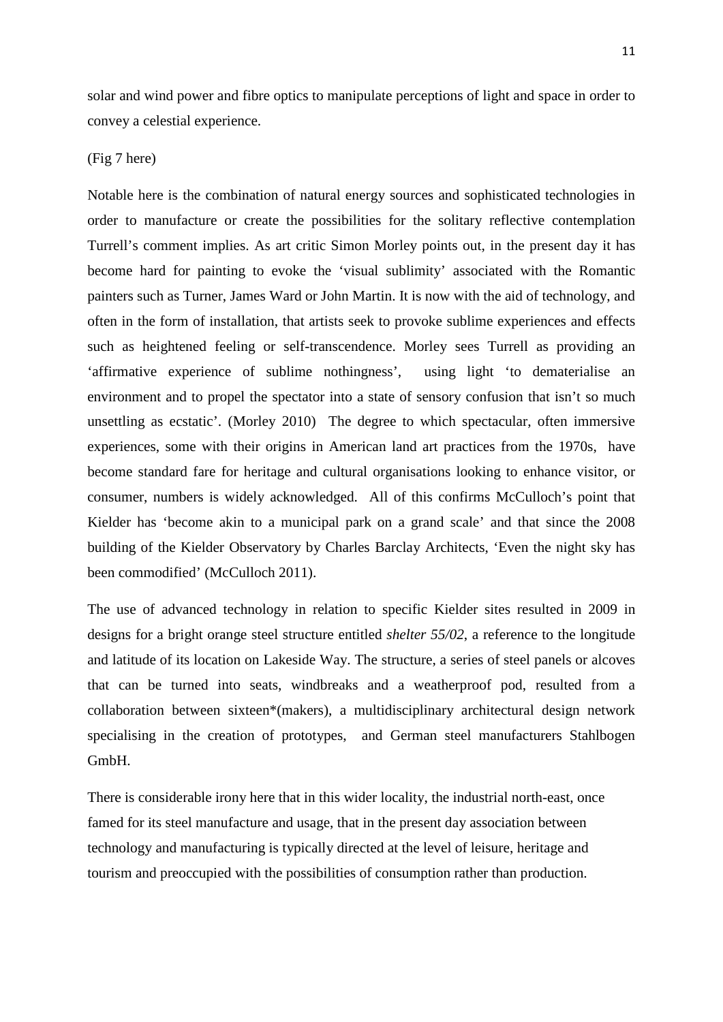solar and wind power and fibre optics to manipulate perceptions of light and space in order to convey a celestial experience.

## (Fig 7 here)

Notable here is the combination of natural energy sources and sophisticated technologies in order to manufacture or create the possibilities for the solitary reflective contemplation Turrell's comment implies. As art critic Simon Morley points out, in the present day it has become hard for painting to evoke the 'visual sublimity' associated with the Romantic painters such as Turner, James Ward or John Martin. It is now with the aid of technology, and often in the form of installation, that artists seek to provoke sublime experiences and effects such as heightened feeling or self-transcendence. Morley sees Turrell as providing an 'affirmative experience of sublime nothingness', using light 'to dematerialise an environment and to propel the spectator into a state of sensory confusion that isn't so much unsettling as ecstatic'. (Morley 2010) The degree to which spectacular, often immersive experiences, some with their origins in American land art practices from the 1970s, have become standard fare for heritage and cultural organisations looking to enhance visitor, or consumer, numbers is widely acknowledged. All of this confirms McCulloch's point that Kielder has 'become akin to a municipal park on a grand scale' and that since the 2008 building of the Kielder Observatory by Charles Barclay Architects, 'Even the night sky has been commodified' (McCulloch 2011).

The use of advanced technology in relation to specific Kielder sites resulted in 2009 in designs for a bright orange steel structure entitled *shelter 55/02*, a reference to the longitude and latitude of its location on Lakeside Way. The structure, a series of steel panels or alcoves that can be turned into seats, windbreaks and a weatherproof pod, resulted from a collaboration between sixteen\*(makers), a multidisciplinary architectural design network specialising in the creation of prototypes, and German steel manufacturers Stahlbogen GmbH.

There is considerable irony here that in this wider locality, the industrial north-east, once famed for its steel manufacture and usage, that in the present day association between technology and manufacturing is typically directed at the level of leisure, heritage and tourism and preoccupied with the possibilities of consumption rather than production.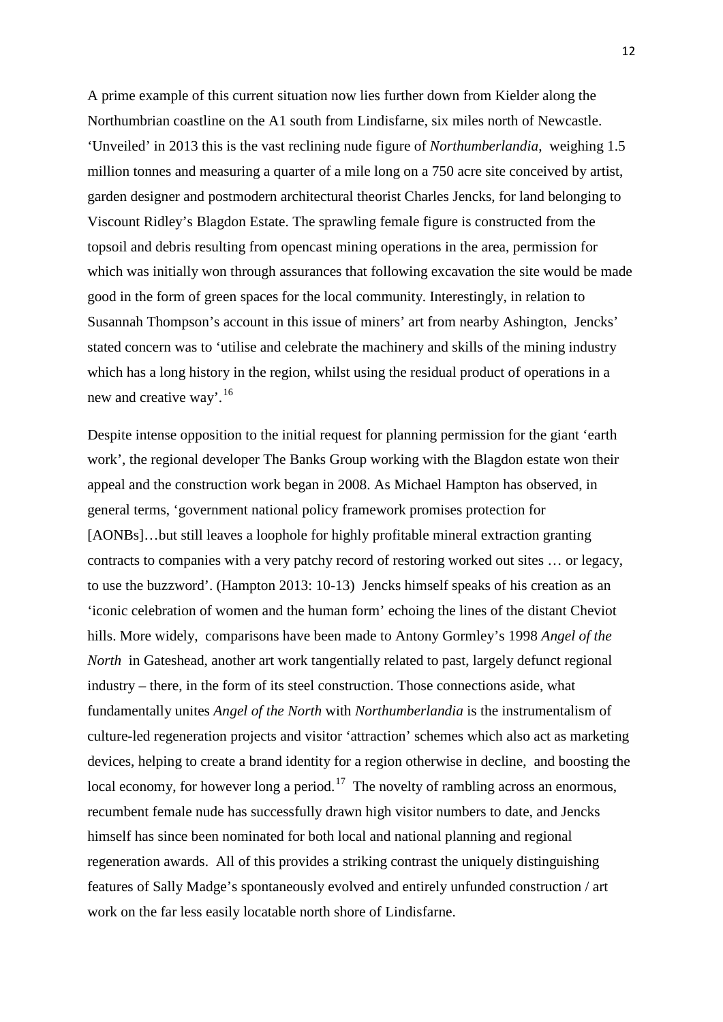A prime example of this current situation now lies further down from Kielder along the Northumbrian coastline on the A1 south from Lindisfarne, six miles north of Newcastle. 'Unveiled' in 2013 this is the vast reclining nude figure of *Northumberlandia*, weighing 1.5 million tonnes and measuring a quarter of a mile long on a 750 acre site conceived by artist, garden designer and postmodern architectural theorist Charles Jencks, for land belonging to Viscount Ridley's Blagdon Estate. The sprawling female figure is constructed from the topsoil and debris resulting from opencast mining operations in the area, permission for which was initially won through assurances that following excavation the site would be made good in the form of green spaces for the local community. Interestingly, in relation to Susannah Thompson's account in this issue of miners' art from nearby Ashington, Jencks' stated concern was to 'utilise and celebrate the machinery and skills of the mining industry which has a long history in the region, whilst using the residual product of operations in a new and creative way'.<sup>[16](#page-15-12)</sup>

Despite intense opposition to the initial request for planning permission for the giant 'earth work', the regional developer The Banks Group working with the Blagdon estate won their appeal and the construction work began in 2008. As Michael Hampton has observed, in general terms, 'government national policy framework promises protection for [AONBs]…but still leaves a loophole for highly profitable mineral extraction granting contracts to companies with a very patchy record of restoring worked out sites … or legacy, to use the buzzword'. (Hampton 2013: 10-13) Jencks himself speaks of his creation as an 'iconic celebration of women and the human form' echoing the lines of the distant Cheviot hills. More widely, comparisons have been made to Antony Gormley's 1998 *Angel of the North* in Gateshead, another art work tangentially related to past, largely defunct regional industry – there, in the form of its steel construction. Those connections aside, what fundamentally unites *Angel of the North* with *Northumberlandia* is the instrumentalism of culture-led regeneration projects and visitor 'attraction' schemes which also act as marketing devices, helping to create a brand identity for a region otherwise in decline, and boosting the local economy, for however long a period.<sup>[17](#page-15-13)</sup> The novelty of rambling across an enormous, recumbent female nude has successfully drawn high visitor numbers to date, and Jencks himself has since been nominated for both local and national planning and regional regeneration awards. All of this provides a striking contrast the uniquely distinguishing features of Sally Madge's spontaneously evolved and entirely unfunded construction / art work on the far less easily locatable north shore of Lindisfarne.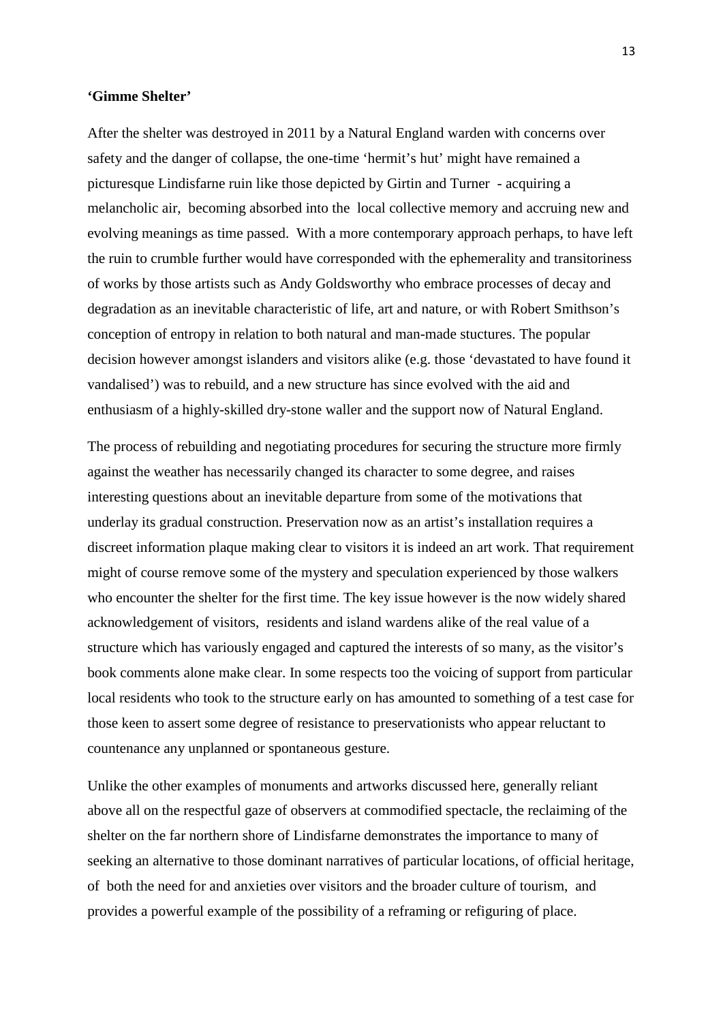## <span id="page-13-0"></span>**'Gimme Shelter'**

After the shelter was destroyed in 2011 by a Natural England warden with concerns over safety and the danger of collapse, the one-time 'hermit's hut' might have remained a picturesque Lindisfarne ruin like those depicted by Girtin and Turner - acquiring a melancholic air, becoming absorbed into the local collective memory and accruing new and evolving meanings as time passed. With a more contemporary approach perhaps, to have left the ruin to crumble further would have corresponded with the ephemerality and transitoriness of works by those artists such as Andy Goldsworthy who embrace processes of decay and degradation as an inevitable characteristic of life, art and nature, or with Robert Smithson's conception of entropy in relation to both natural and man-made stuctures. The popular decision however amongst islanders and visitors alike (e.g. those 'devastated to have found it vandalised') was to rebuild, and a new structure has since evolved with the aid and enthusiasm of a highly-skilled dry-stone waller and the support now of Natural England.

The process of rebuilding and negotiating procedures for securing the structure more firmly against the weather has necessarily changed its character to some degree, and raises interesting questions about an inevitable departure from some of the motivations that underlay its gradual construction. Preservation now as an artist's installation requires a discreet information plaque making clear to visitors it is indeed an art work. That requirement might of course remove some of the mystery and speculation experienced by those walkers who encounter the shelter for the first time. The key issue however is the now widely shared acknowledgement of visitors, residents and island wardens alike of the real value of a structure which has variously engaged and captured the interests of so many, as the visitor's book comments alone make clear. In some respects too the voicing of support from particular local residents who took to the structure early on has amounted to something of a test case for those keen to assert some degree of resistance to preservationists who appear reluctant to countenance any unplanned or spontaneous gesture.

Unlike the other examples of monuments and artworks discussed here, generally reliant above all on the respectful gaze of observers at commodified spectacle, the reclaiming of the shelter on the far northern shore of Lindisfarne demonstrates the importance to many of seeking an alternative to those dominant narratives of particular locations, of official heritage, of both the need for and anxieties over visitors and the broader culture of tourism, and provides a powerful example of the possibility of a reframing or refiguring of place.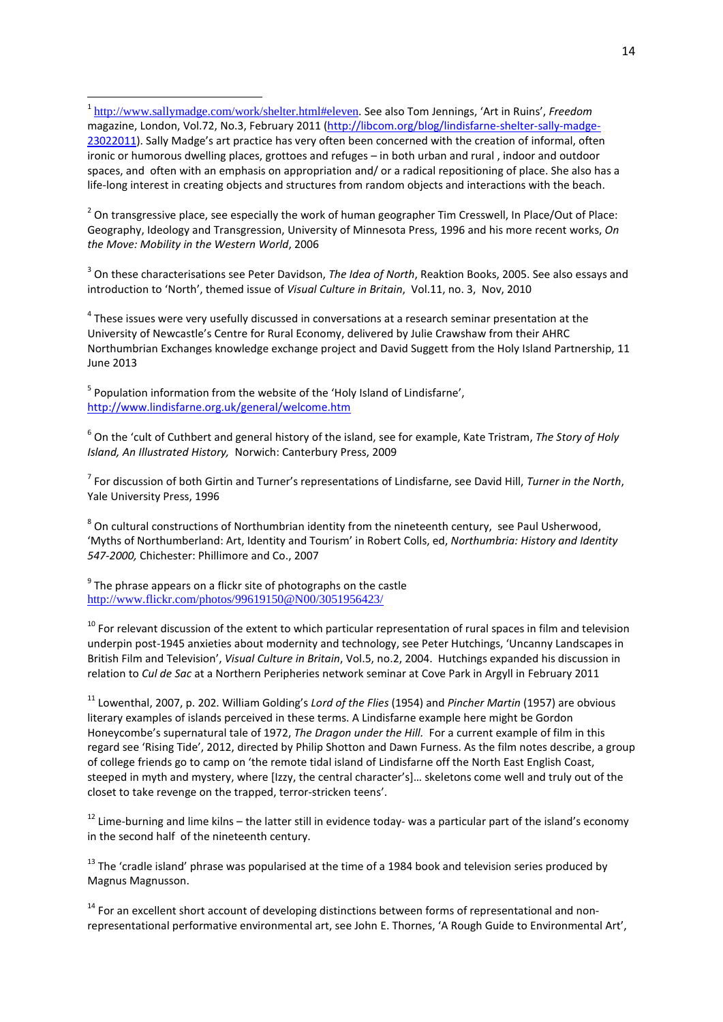<span id="page-14-0"></span><sup>2</sup> On transgressive place, see especially the work of human geographer Tim Cresswell, In Place/Out of Place: Geography, Ideology and Transgression, University of Minnesota Press, 1996 and his more recent works, *On the Move: Mobility in the Western World*, 2006

<span id="page-14-1"></span>3 On these characterisations see Peter Davidson, *The Idea of North*, Reaktion Books, 2005. See also essays and introduction to 'North', themed issue of *Visual Culture in Britain*, Vol.11, no. 3, Nov, 2010

 $<sup>4</sup>$  These issues were very usefully discussed in conversations at a research seminar presentation at the</sup> University of Newcastle's Centre for Rural Economy, delivered by Julie Crawshaw from their AHRC Northumbrian Exchanges knowledge exchange project and David Suggett from the Holy Island Partnership, 11 June 2013

<sup>5</sup> Population information from the website of the 'Holy Island of Lindisfarne', <http://www.lindisfarne.org.uk/general/welcome.htm>

<u>.</u>

6 On the 'cult of Cuthbert and general history of the island, see for example, Kate Tristram, *The Story of Holy Island, An Illustrated History,* Norwich: Canterbury Press, 2009

7 For discussion of both Girtin and Turner's representations of Lindisfarne, see David Hill, *Turner in the North*, Yale University Press, 1996

 $8$  On cultural constructions of Northumbrian identity from the nineteenth century, see Paul Usherwood, 'Myths of Northumberland: Art, Identity and Tourism' in Robert Colls, ed, *Northumbria: History and Identity 547-2000,* Chichester: Phillimore and Co., 2007

 $9$  The phrase appears on a flickr site of photographs on the castle <http://www.flickr.com/photos/99619150@N00/3051956423/>

 $10$  For relevant discussion of the extent to which particular representation of rural spaces in film and television underpin post-1945 anxieties about modernity and technology, see Peter Hutchings, 'Uncanny Landscapes in British Film and Television', *Visual Culture in Britain*, Vol.5, no.2, 2004. Hutchings expanded his discussion in relation to *Cul de Sac* at a Northern Peripheries network seminar at Cove Park in Argyll in February 2011

<sup>11</sup> Lowenthal, 2007, p. 202. William Golding's *Lord of the Flies* (1954) and *Pincher Martin* (1957) are obvious literary examples of islands perceived in these terms. A Lindisfarne example here might be Gordon Honeycombe's supernatural tale of 1972, *The Dragon under the Hill.* For a current example of film in this regard see 'Rising Tide', 2012, directed by Philip Shotton and Dawn Furness. As the film notes describe, a group of college friends go to camp on 'the remote tidal island of Lindisfarne off the North East English Coast, steeped in myth and mystery, where [Izzy, the central character's]… skeletons come well and truly out of the closet to take revenge on the trapped, terror-stricken teens'.

 $12$  Lime-burning and lime kilns – the latter still in evidence today- was a particular part of the island's economy in the second half of the nineteenth century.

<sup>13</sup> The 'cradle island' phrase was popularised at the time of a 1984 book and television series produced by Magnus Magnusson.

<sup>14</sup> For an excellent short account of developing distinctions between forms of representational and nonrepresentational performative environmental art, see John E. Thornes, 'A Rough Guide to Environmental Art',

<sup>1</sup> [http://www.sallymadge.com/work/shelter.html#eleven](http://www.sallymadge.com/work/shelter.html%23eleven). See also Tom Jennings, 'Art in Ruins', *Freedom*  magazine, London, Vol.72, No.3, February 2011 [\(http://libcom.org/blog/lindisfarne-shelter-sally-madge-](http://libcom.org/blog/lindisfarne-shelter-sally-madge-23022011)[23022011\)](http://libcom.org/blog/lindisfarne-shelter-sally-madge-23022011). Sally Madge's art practice has very often been concerned with the creation of informal, often ironic or humorous dwelling places, grottoes and refuges – in both urban and rural , indoor and outdoor spaces, and often with an emphasis on appropriation and/ or a radical repositioning of place. She also has a life-long interest in creating objects and structures from random objects and interactions with the beach.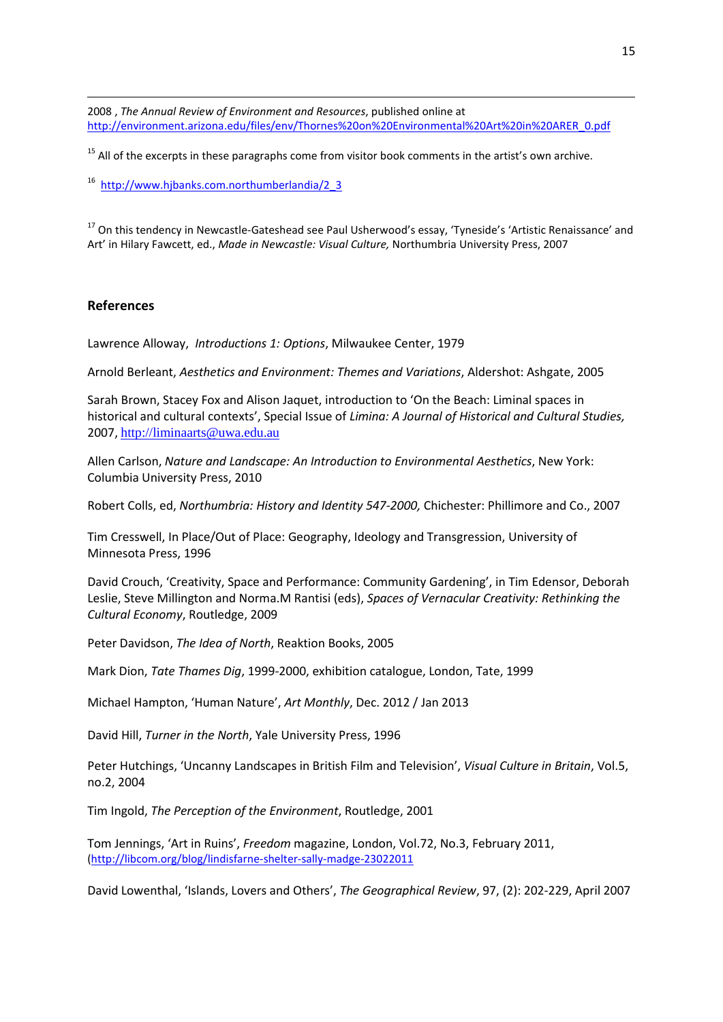2008 , *The Annual Review of Environment and Resources*, published online at [http://environment.arizona.edu/files/env/Thornes%20on%20Environmental%20Art%20in%20ARER\\_0.pdf](http://environment.arizona.edu/files/env/Thornes%20on%20Environmental%20Art%20in%20ARER_0.pdf)

<span id="page-15-11"></span><sup>15</sup> All of the excerpts in these paragraphs come from visitor book comments in the artist's own archive.

<span id="page-15-12"></span><sup>16</sup> [http://www.hjbanks.com.northumberlandia/2\\_3](http://www.hjbanks.com.northumberlandia/2_3)

<span id="page-15-13"></span><sup>17</sup> On this tendency in Newcastle-Gateshead see Paul Usherwood's essay, 'Tyneside's 'Artistic Renaissance' and Art' in Hilary Fawcett, ed., *Made in Newcastle: Visual Culture,* Northumbria University Press, 2007

## <span id="page-15-0"></span>**References**

<u>.</u>

Lawrence Alloway, *Introductions 1: Options*, Milwaukee Center, 1979

Arnold Berleant, *Aesthetics and Environment: Themes and Variations*, Aldershot: Ashgate, 2005

<span id="page-15-1"></span>Sarah Brown, Stacey Fox and Alison Jaquet, introduction to 'On the Beach: Liminal spaces in historical and cultural contexts', Special Issue of *Limina: A Journal of Historical and Cultural Studies,*  2007, [http://liminaarts@uwa.edu.au](http://liminaarts@uwa.edu.au/)

<span id="page-15-3"></span><span id="page-15-2"></span>Allen Carlson, *Nature and Landscape: An Introduction to Environmental Aesthetics*, New York: Columbia University Press, 2010

Robert Colls, ed, *Northumbria: History and Identity 547-2000,* Chichester: Phillimore and Co., 2007

<span id="page-15-4"></span>Tim Cresswell, In Place/Out of Place: Geography, Ideology and Transgression, University of Minnesota Press, 1996

<span id="page-15-5"></span>David Crouch, 'Creativity, Space and Performance: Community Gardening', in Tim Edensor, Deborah Leslie, Steve Millington and Norma.M Rantisi (eds), *Spaces of Vernacular Creativity: Rethinking the Cultural Economy*, Routledge, 2009

<span id="page-15-6"></span>Peter Davidson, *The Idea of North*, Reaktion Books, 2005

Mark Dion, *Tate Thames Dig*, 1999-2000, exhibition catalogue, London, Tate, 1999

<span id="page-15-7"></span>Michael Hampton, 'Human Nature', *Art Monthly*, Dec. 2012 / Jan 2013

David Hill, *Turner in the North*, Yale University Press, 1996

Peter Hutchings, 'Uncanny Landscapes in British Film and Television', *Visual Culture in Britain*, Vol.5, no.2, 2004

<span id="page-15-8"></span>Tim Ingold, *The Perception of the Environment*, Routledge, 2001

<span id="page-15-9"></span>Tom Jennings, 'Art in Ruins', *Freedom* magazine, London, Vol.72, No.3, February 2011, [\(http://libcom.org/blog/lindisfarne-shelter-sally-madge-23022011](http://libcom.org/blog/lindisfarne-shelter-sally-madge-23022011)

<span id="page-15-10"></span>David Lowenthal, 'Islands, Lovers and Others', *The Geographical Review*, 97, (2): 202-229, April 2007